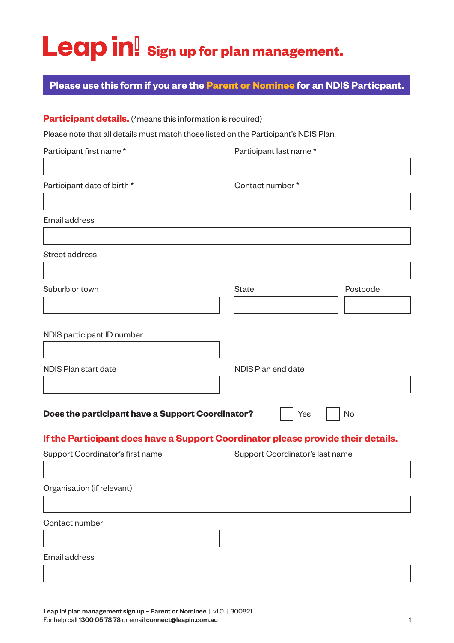## Leap in! Sign up for plan management.

## **Please use this form if you are the Parent or Nominee for an NDIS Particpant.**

## **Participant details.** (\*means this information is required)

Please note that all details must match those listed on the Participant's NDIS Plan.

| Participant first name*                                                          | Participant last name*          |          |
|----------------------------------------------------------------------------------|---------------------------------|----------|
|                                                                                  |                                 |          |
| Participant date of birth *                                                      | Contact number*                 |          |
|                                                                                  |                                 |          |
| Email address                                                                    |                                 |          |
| Street address                                                                   |                                 |          |
|                                                                                  |                                 |          |
| Suburb or town                                                                   | <b>State</b>                    | Postcode |
|                                                                                  |                                 |          |
| NDIS participant ID number                                                       |                                 |          |
|                                                                                  |                                 |          |
| NDIS Plan start date                                                             | NDIS Plan end date              |          |
|                                                                                  |                                 |          |
| Does the participant have a Support Coordinator?                                 | Yes                             | No       |
| If the Participant does have a Support Coordinator please provide their details. |                                 |          |
| Support Coordinator's first name                                                 | Support Coordinator's last name |          |
|                                                                                  |                                 |          |
| Organisation (if relevant)                                                       |                                 |          |
| Contact number                                                                   |                                 |          |
|                                                                                  |                                 |          |
| Email address                                                                    |                                 |          |
|                                                                                  |                                 |          |
|                                                                                  |                                 |          |

Leap in! plan management sign up - Parent or Nominee | v1.0 | 300821 For help call 1300 05 78 78 or email connect@leapin.com.au 1